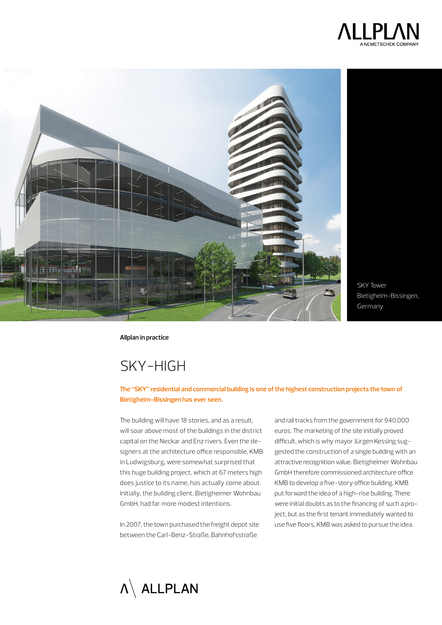



SKY Tower Bietigheim-Bissingen, Germany

**Allplan in practice**

# Sky-high

### **The "SKY" residential and commercial building is one of the highest construction projects the town of Bietigheim-Bissingen has ever seen.**

The building will have 18 stories, and as a result, will soar above most of the buildings in the district capital on the Neckar and Enz rivers. Even the designers at the architecture office responsible, KMB in Ludwigsburg, were somewhat surprised that this huge building project, which at 67 meters high does justice to its name, has actually come about. Initially, the building client, Bietigheimer Wohnbau GmbH, had far more modest intentions.

In 2007, the town purchased the freight depot site between the Carl-Benz-Straße, Bahnhofsstraße

and rail tracks from the government for 940,000 euros. The marketing of the site initially proved difficult, which is why mayor Jürgen Kessing suggested the construction of a single building with an attractive recognition value. Bietigheimer Wohnbau GmbH therefore commissioned architecture office KMB to develop a five-story office building. KMB put forward the idea of a high-rise building. There were initial doubts as to the financing of such a project, but as the first tenant immediately wanted to use five floors, KMB was asked to pursue the idea.

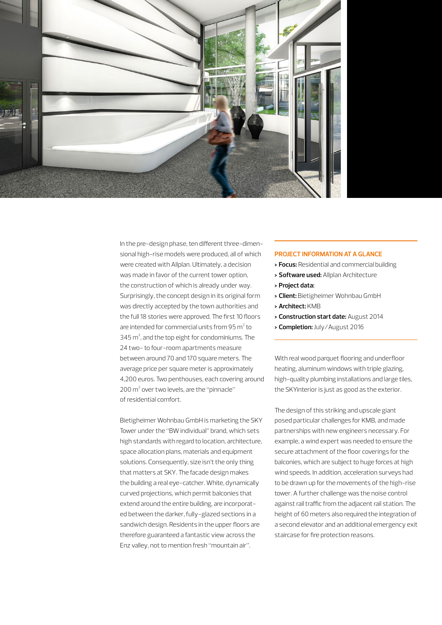

In the pre-design phase, ten different three-dimensional high-rise models were produced, all of which were created with Allplan. Ultimately, a decision was made in favor of the current tower option, the construction of which is already under way. Surprisingly, the concept design in its original form was directly accepted by the town authorities and the full 18 stories were approved. The first 10 floors are intended for commercial units from  $95 \text{ m}^2$  to  $345$  m<sup>2</sup>, and the top eight for condominiums. The 24 two- to four-room apartments measure between around 70 and 170 square meters. The average price per square meter is approximately 4,200 euros. Two penthouses, each covering around 200 m<sup>2</sup> over two levels, are the "pinnacle" of residential comfort.

Bietigheimer Wohnbau GmbH is marketing the SKY Tower under the "BW individual" brand, which sets high standards with regard to location, architecture, space allocation plans, materials and equipment solutions. Consequently, size isn't the only thing that matters at SKY. The facade design makes the building a real eye-catcher. White, dynamically curved projections, which permit balconies that extend around the entire building, are incorporated between the darker, fully-glazed sections in a sandwich design. Residents in the upper floors are therefore guaranteed a fantastic view across the Enz valley, not to mention fresh "mountain air".

#### **PROJECT INFORMATION AT A GLANCE**

- **> Focus:** Residential and commercial building
- **> Software used:** Allplan Architecture
- **> Project data:**
- **> Client:** Bietigheimer Wohnbau GmbH
- **> Architect:** KMB
- **> Construction start date:** August 2014
- **> Completion:** July/August 2016

With real wood parquet flooring and underfloor heating, aluminum windows with triple glazing, high-quality plumbing installations and large tiles, the SKYinterior is just as good as the exterior.

The design of this striking and upscale giant posed particular challenges for KMB, and made partnerships with new engineers necessary. For example, a wind expert was needed to ensure the secure attachment of the floor coverings for the balconies, which are subject to huge forces at high wind speeds. In addition, acceleration surveys had to be drawn up for the movements of the high-rise tower. A further challenge was the noise control against rail traffic from the adjacent rail station. The height of 60 meters also required the integration of a second elevator and an additional emergency exit staircase for fire protection reasons.